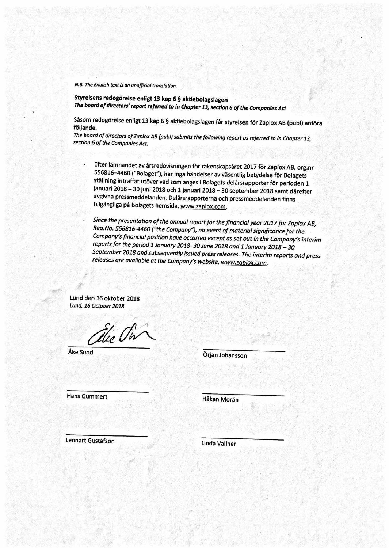Styrelsens redogörelse enligt 13 kap 6 § aktiebolagslagen The board of directors' report referred to in Chapter 13, section 6 of the Companies Act

Såsom redogörelse enligt 13 kap 6 § aktiebolagslagen får styrelsen för Zaplox AB (publ) anföra följande.

The board of directors of Zaplox AB (publ) submits the following report as referred to in Chapter 13, section 6 of the Companies Act.

Efter lämnandet av årsredovisningen för räkenskapsåret 2017 för Zaplox AB, org.nr 556816-4460 ("Bolaget"), har inga händelser av väsentlig betydelse för Bolagets ställning inträffat utöver vad som anges i Bolagets delårsrapporter för perioden 1 januari 2018 – 30 juni 2018 och 1 januari 2018 – 30 september 2018 samt därefter avgivna pressmeddelanden. Delårsrapporterna och pressmeddelanden finns tillgängliga på Bolagets hemsida, www.zaplox.com.

Since the presentation of the annual report for the financial year 2017 for Zaplox AB, Reg.No. 556816-4460 ("the Company"), no event of material significance for the Company's financial position have occurred except as set out in the Company's interim reports for the period 1 January 2018- 30 June 2018 and 1 January 2018 - 30 September 2018 and subsequently issued press releases. The interim reports and press releases are available at the Company's website, www.zaplox.com.

Lund den 16 oktober 2018 Lund, 16 October 2018

# Ale Pin Åke Sund

## Örjan Johansson

## **Hans Gummert**

## Håkan Morän

#### **Lennart Gustafson**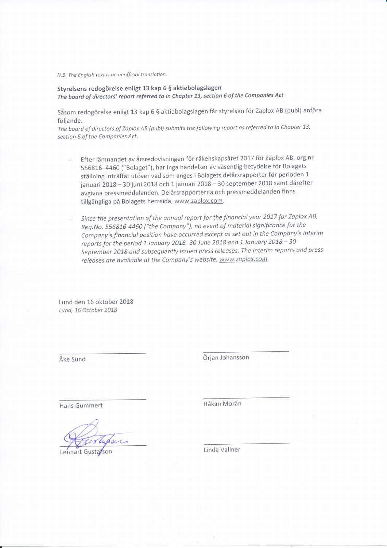Styrelsens redogörelse enligt 13 kap 5 S aktiebolagslagen The board of directors' report referred to in Chapter 73, section 6 of the Companies Act

Såsom redogörelse enligt 13 kap 6 \$ aktiebolagslagen får styrelsen för Zaplox AB (publ) anföra följande.

The board of directors of Zaplox AB (publ) submits the following report as referred to in Chapter 13, section 6 of the Componies Act.

- Efter lämnandet av årsredovisningen för räkenskapsåret 2017 för Zaplox AB, org.nr 556816-4460 ("Bolaget"), har inga händelser av väsentlig betydelse för Bolagets ställning inträffat utöver vad som anges i Bolagets delårsrapporter för perioden <sup>1</sup> januari 2018 - 30 juni 2018 och 1 januari 2018 - 30 september 2018 samt därefter avgivna pressmeddelanden. Delårsrapporterna och pressmeddelanden finns tillgängliga på Bolagets hemsida, www.zaplox.com.
- Since the presentation of the annual report for the financial year 2017 for Zaplox AB, Reg.No. 556816-4460 ("the company"), no event of material significance for the Company's financial position have occurred except as set out in the Company's interim company's financial position nave occurred except as set out in the company.<br>reports for the period 1 January 2018- 30 June 2018 and 1 January 2018 – 30 September 2018 ond subsequently issued press releases. The interim reports ond press releases are available at the Company's website, www.zaplox.com.

Lund den 15 oktober 2018 Lund, 16 October 2018

Åke sund örjan Johansson

Hans 6ummert Håkan Morän

Lennart Gustarson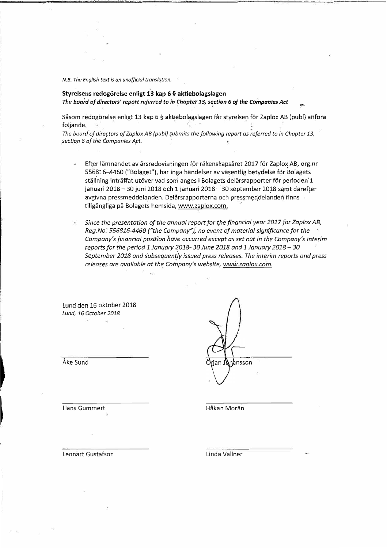#### **Styrelsens redogorelse enligt 13 kap 6 § aktiebolagslagen**  The board of directors' report referred to in Chapter 13, section 6 of the Companies Act

Såsom redogörelse enligt 13 kap 6 § aktiebolagslagen får styrelsen för Zaplox AB (publ) anföra följande.

*The board of directors of Zaplox AB (publ) submits the following report as referred to in Chapter 13, sectiop <sup>6</sup>of the Companies Apt.* 

- Efter lämnandet av årsredovisningen för räkenskapsåret 2017 för Zaplox AB, org.nr 556816-4460 ("Bolaget"), har inga händelser av väsentlig betydelse för Bolagets ställning inträffat utöver vad som anges i Bolagets delårsrapporter för perioden 1 januari 2018 - 30 juni 2018 och 1 januari 2018 - 30 september 2018 samt därefter avgivna pressmeddelanden. Delårsrapporterna och pressmeddelanden finns tillgängliga på Bolagets hemsida, www.zaplox.com.
- *Since the presentation of the annual report for the financial year 2017 for Zap/ox AB, Reg.No: 556816-4460 ("the Company"), no event of material Significance for the Company's financial position have occurred except as set out in the Company's interim reports for the period 1 January 2018- 30 June 2018 and 1 January 2018-30*  September 2018 and subsequently issued press releases. The interim reports and press *releases are available at the Company's website, www.zaplox.com.*

Lund den 16 oktober 2018 *Lund, 16 October 2018* 

**nsson** 

Hans Gummert

Ake Sund

*�* 

 $\vert$ 

Håkan Morän

Lennart Gustafson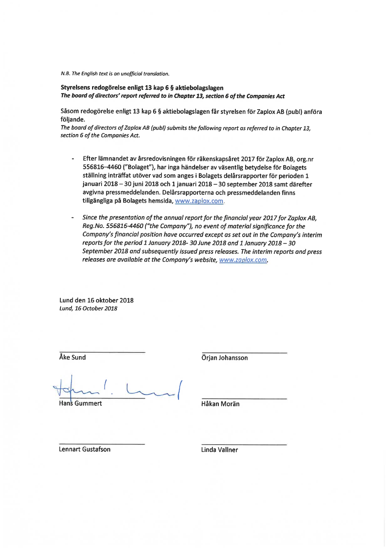#### Styrelsens redogörelse enligt 13 kap 6 § aktiebolagslagen The board of directors' report referred to in Chapter 13, section 6 of the Companies Act

Såsom redogörelse enligt 13 kap 6 § aktiebolagslagen får styrelsen för Zaplox AB (publ) anföra följande.

The board of directors of Zaplox AB (publ) submits the following report as referred to in Chapter 13, section 6 of the Companies Act.

- Efter lämnandet av årsredovisningen för räkenskapsåret 2017 för Zaplox AB, org.nr 556816-4460 ("Bolaget"), har inga händelser av väsentlig betydelse för Bolagets ställning inträffat utöver vad som anges i Bolagets delårsrapporter för perioden 1 januari 2018 - 30 juni 2018 och 1 januari 2018 - 30 september 2018 samt därefter avgivna pressmeddelanden. Delårsrapporterna och pressmeddelanden finns tillgängliga på Bolagets hemsida, www.zaplox.com.
- Since the presentation of the annual report for the financial year 2017 for Zaplox AB, Reg.No. 556816-4460 ("the Company"), no event of material significance for the Company's financial position have occurred except as set out in the Company's interim reports for the period 1 January 2018- 30 June 2018 and 1 January 2018 - 30 September 2018 and subsequently issued press releases. The interim reports and press releases are available at the Company's website, www.zaplox.com.

Lund den 16 oktober 2018 Lund, 16 October 2018

Åke Sund

**Hans Gummert** 

Örjan Johansson

Håkan Morän

**Lennart Gustafson**